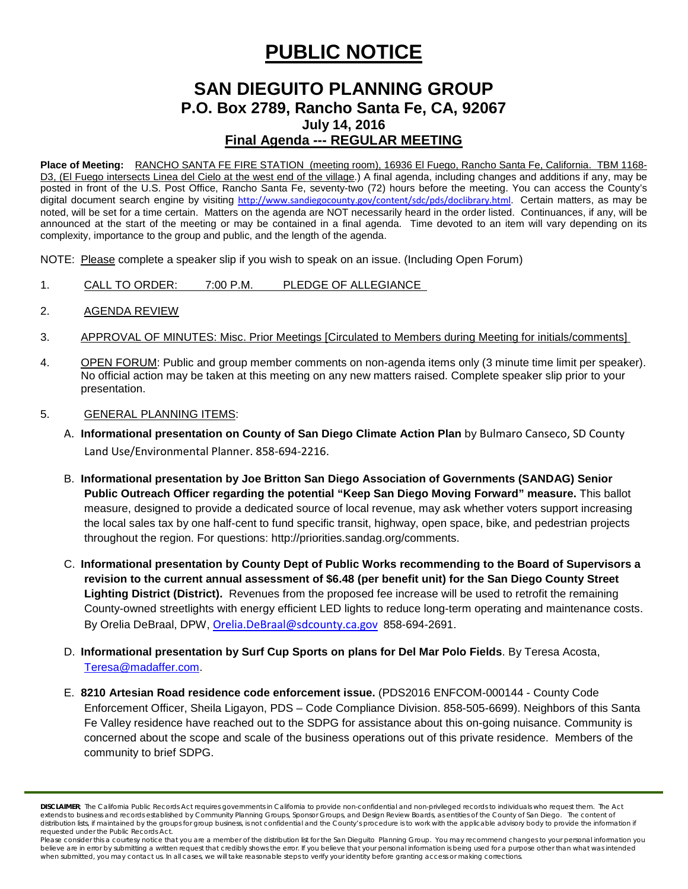# **PUBLIC NOTICE**

# **SAN DIEGUITO PLANNING GROUP P.O. Box 2789, Rancho Santa Fe, CA, 92067 July 14, 2016 Final Agenda --- REGULAR MEETING**

**Place of Meeting:** RANCHO SANTA FE FIRE STATION (meeting room), 16936 El Fuego, Rancho Santa Fe, California. TBM 1168- D3, (El Fuego intersects Linea del Cielo at the west end of the village.) A final agenda, including changes and additions if any, may be posted in front of the U.S. Post Office, Rancho Santa Fe, seventy-two (72) hours before the meeting. You can access the County's digital document search engine by visiting [http://www.sandiegocounty.gov/content/sdc/pds/doclibrary.html.](http://www.sandiegocounty.gov/content/sdc/pds/doclibrary.html) Certain matters, as may be noted, will be set for a time certain. Matters on the agenda are NOT necessarily heard in the order listed. Continuances, if any, will be announced at the start of the meeting or may be contained in a final agenda. Time devoted to an item will vary depending on its complexity, importance to the group and public, and the length of the agenda.

NOTE: Please complete a speaker slip if you wish to speak on an issue. (Including Open Forum)

- 1. CALL TO ORDER: 7:00 P.M. PLEDGE OF ALLEGIANCE
- 2. AGENDA REVIEW
- 3. APPROVAL OF MINUTES: Misc. Prior Meetings [Circulated to Members during Meeting for initials/comments]
- 4. OPEN FORUM: Public and group member comments on non-agenda items only (3 minute time limit per speaker). No official action may be taken at this meeting on any new matters raised. Complete speaker slip prior to your presentation.

#### 5. GENERAL PLANNING ITEMS:

- A. **Informational presentation on County of San Diego Climate Action Plan** by Bulmaro Canseco, SD County Land Use/Environmental Planner. 858-694-2216.
- B. **Informational presentation by Joe Britton San Diego Association of Governments (SANDAG) Senior Public Outreach Officer regarding the potential "Keep San Diego Moving Forward" measure.** This ballot measure, designed to provide a dedicated source of local revenue, may ask whether voters support increasing the local sales tax by one half-cent to fund specific transit, highway, open space, bike, and pedestrian projects throughout the region. For questions: http://priorities.sandag.org/comments.
- C. **Informational presentation by County Dept of Public Works recommending to the Board of Supervisors a revision to the current annual assessment of \$6.48 (per benefit unit) for the San Diego County Street Lighting District (District).** Revenues from the proposed fee increase will be used to retrofit the remaining County-owned streetlights with energy efficient LED lights to reduce long-term operating and maintenance costs. By Orelia DeBraal, DPW, [Orelia.DeBraal@sdcounty.ca.gov](mailto:Orelia.DeBraal@sdcounty.ca.gov) 858-694-2691.
- D. **Informational presentation by Surf Cup Sports on plans for Del Mar Polo Fields**. By Teresa Acosta, [Teresa@madaffer.com.](mailto:Teresa@madaffer.com)
- E. **8210 Artesian Road residence code enforcement issue.** (PDS2016 ENFCOM-000144 County Code Enforcement Officer, Sheila Ligayon, PDS – Code Compliance Division. 858-505-6699). Neighbors of this Santa Fe Valley residence have reached out to the SDPG for assistance about this on-going nuisance. Community is concerned about the scope and scale of the business operations out of this private residence. Members of the community to brief SDPG.

*DISCLAIMER; The California Public Records Act requires governments in California to provide non-confidential and non-privileged records to individuals who request them. The Act extends to business and records established by Community Planning Groups, Sponsor Groups, and Design Review Boards, as entities of the County of San Diego. The content of*  distribution lists, if maintained by the groups for group business, is not confidential and the County's procedure is to work with the applicable advisory body to provide the information if *requested under the Public Records Act.*

*Please consider this a courtesy notice that you are a member of the distribution list for the San Dieguito Planning Group. You may recommend changes to your personal information you*  believe are in error by submitting a written request that credibly shows the error. If you believe that your personal information is being used for a purpose other than what was intended *when submitted, you may contact us. In all cases, we will take reasonable steps to verify your identity before granting access or making corrections.*